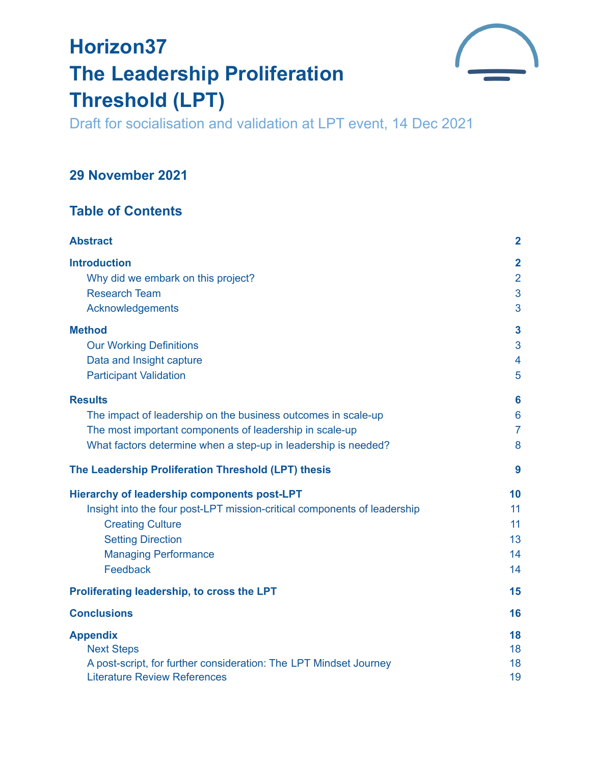# **Horizon37 The Leadership Proliferation Threshold (LPT)**



Draft for socialisation and validation at LPT event, 14 Dec 2021

# **29 November 2021**

# **Table of Contents**

| <b>Abstract</b>                                                          | $\overline{\mathbf{2}}$ |
|--------------------------------------------------------------------------|-------------------------|
| <b>Introduction</b>                                                      | $\overline{2}$          |
| Why did we embark on this project?                                       | $\overline{2}$          |
| <b>Research Team</b>                                                     | 3                       |
| Acknowledgements                                                         | 3                       |
| <b>Method</b>                                                            | $\mathbf{3}$            |
| <b>Our Working Definitions</b>                                           | 3                       |
| Data and Insight capture                                                 | 4                       |
| <b>Participant Validation</b>                                            | 5                       |
| <b>Results</b>                                                           | 6                       |
| The impact of leadership on the business outcomes in scale-up            | $6\phantom{1}6$         |
| The most important components of leadership in scale-up                  | $\overline{7}$          |
| What factors determine when a step-up in leadership is needed?           | 8                       |
| The Leadership Proliferation Threshold (LPT) thesis                      | 9                       |
| <b>Hierarchy of leadership components post-LPT</b>                       | 10                      |
| Insight into the four post-LPT mission-critical components of leadership | 11                      |
| <b>Creating Culture</b>                                                  | 11                      |
| <b>Setting Direction</b>                                                 | 13                      |
| <b>Managing Performance</b>                                              | 14                      |
| Feedback                                                                 | 14                      |
| Proliferating leadership, to cross the LPT                               | 15                      |
| <b>Conclusions</b>                                                       | 16                      |
| <b>Appendix</b>                                                          | 18                      |
| <b>Next Steps</b>                                                        | 18                      |
| A post-script, for further consideration: The LPT Mindset Journey        | 18                      |
| <b>Literature Review References</b>                                      | 19                      |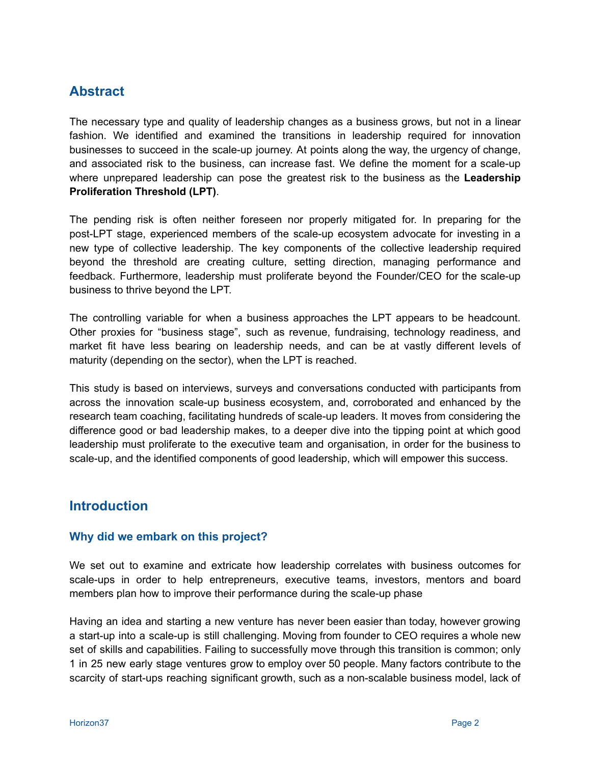## <span id="page-1-0"></span>**Abstract**

The necessary type and quality of leadership changes as a business grows, but not in a linear fashion. We identified and examined the transitions in leadership required for innovation businesses to succeed in the scale-up journey. At points along the way, the urgency of change, and associated risk to the business, can increase fast. We define the moment for a scale-up where unprepared leadership can pose the greatest risk to the business as the **Leadership Proliferation Threshold (LPT)**.

The pending risk is often neither foreseen nor properly mitigated for. In preparing for the post-LPT stage, experienced members of the scale-up ecosystem advocate for investing in a new type of collective leadership. The key components of the collective leadership required beyond the threshold are creating culture, setting direction, managing performance and feedback. Furthermore, leadership must proliferate beyond the Founder/CEO for the scale-up business to thrive beyond the LPT.

The controlling variable for when a business approaches the LPT appears to be headcount. Other proxies for "business stage", such as revenue, fundraising, technology readiness, and market fit have less bearing on leadership needs, and can be at vastly different levels of maturity (depending on the sector), when the LPT is reached.

This study is based on interviews, surveys and conversations conducted with participants from across the innovation scale-up business ecosystem, and, corroborated and enhanced by the research team coaching, facilitating hundreds of scale-up leaders. It moves from considering the difference good or bad leadership makes, to a deeper dive into the tipping point at which good leadership must proliferate to the executive team and organisation, in order for the business to scale-up, and the identified components of good leadership, which will empower this success.

## <span id="page-1-1"></span>**Introduction**

#### <span id="page-1-2"></span>**Why did we embark on this project?**

We set out to examine and extricate how leadership correlates with business outcomes for scale-ups in order to help entrepreneurs, executive teams, investors, mentors and board members plan how to improve their performance during the scale-up phase

Having an idea and starting a new venture has never been easier than today, however growing a start-up into a scale-up is still challenging. Moving from founder to CEO requires a whole new set of skills and capabilities. Failing to successfully move through this transition is common; only 1 in 25 new early stage ventures grow to employ over 50 people. Many factors contribute to the scarcity of start-ups reaching significant growth, such as a non-scalable business model, lack of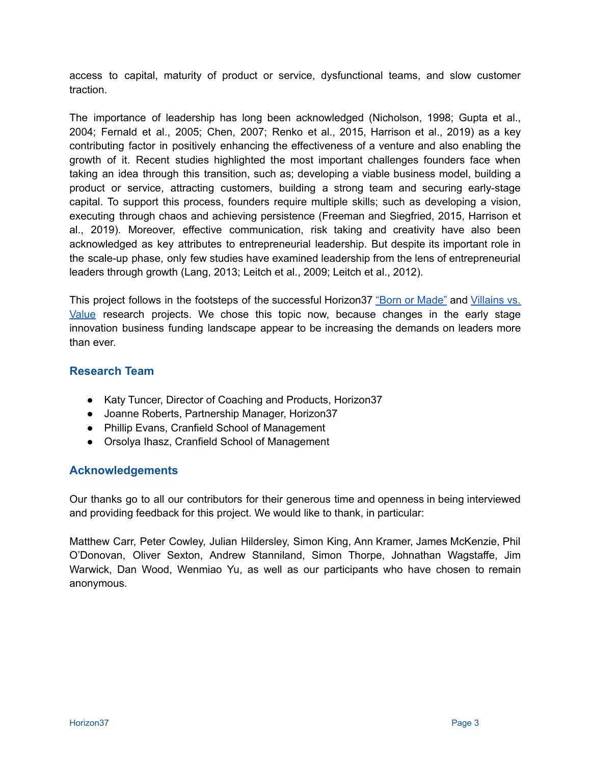access to capital, maturity of product or service, dysfunctional teams, and slow customer traction.

The importance of leadership has long been acknowledged (Nicholson, 1998; Gupta et al., 2004; Fernald et al., 2005; Chen, 2007; Renko et al., 2015, Harrison et al., 2019) as a key contributing factor in positively enhancing the effectiveness of a venture and also enabling the growth of it. Recent studies highlighted the most important challenges founders face when taking an idea through this transition, such as; developing a viable business model, building a product or service, attracting customers, building a strong team and securing early-stage capital. To support this process, founders require multiple skills; such as developing a vision, executing through chaos and achieving persistence (Freeman and Siegfried, 2015, Harrison et al., 2019). Moreover, effective communication, risk taking and creativity have also been acknowledged as key attributes to entrepreneurial leadership. But despite its important role in the scale-up phase, only few studies have examined leadership from the lens of entrepreneurial leaders through growth (Lang, 2013; Leitch et al., 2009; Leitch et al., 2012).

This project follows in the footsteps of the successful Horizon37 "Born or [Made"](https://horizon37couk.files.wordpress.com/2021/08/born-or-made-revised.pdf) and [Villains](https://horizon37couk.files.wordpress.com/2021/08/villains-and-values-final-version-aug-2021.pdf) vs. [Value](https://horizon37couk.files.wordpress.com/2021/08/villains-and-values-final-version-aug-2021.pdf) research projects. We chose this topic now, because changes in the early stage innovation business funding landscape appear to be increasing the demands on leaders more than ever.

#### <span id="page-2-0"></span>**Research Team**

- Katy Tuncer, Director of Coaching and Products, Horizon37
- Joanne Roberts, Partnership Manager, Horizon37
- Phillip Evans, Cranfield School of Management
- Orsolya Ihasz, Cranfield School of Management

#### <span id="page-2-1"></span>**Acknowledgements**

Our thanks go to all our contributors for their generous time and openness in being interviewed and providing feedback for this project. We would like to thank, in particular:

Matthew Carr, Peter Cowley, Julian Hildersley, Simon King, Ann Kramer, James McKenzie, Phil O'Donovan, Oliver Sexton, Andrew Stanniland, Simon Thorpe, Johnathan Wagstaffe, Jim Warwick, Dan Wood, Wenmiao Yu, as well as our participants who have chosen to remain anonymous.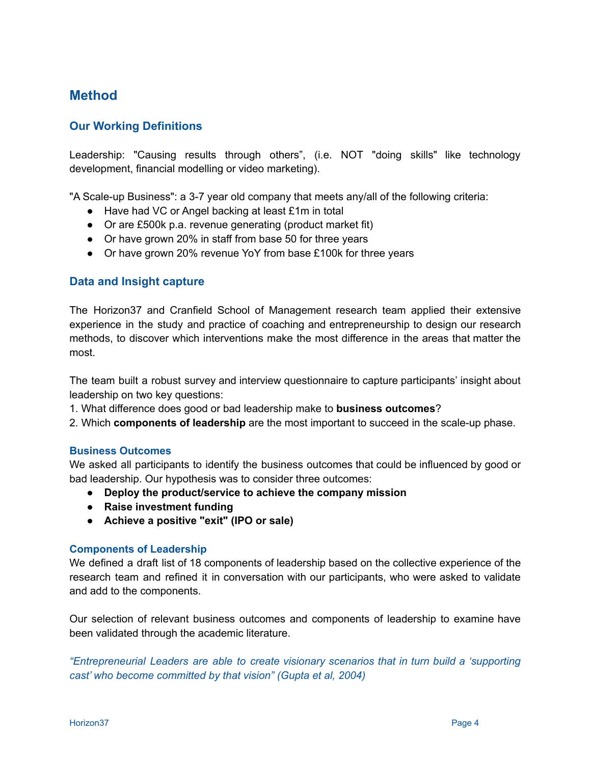## <span id="page-3-0"></span>**Method**

#### <span id="page-3-1"></span>**Our Working Definitions**

Leadership: "Causing results through others", (i.e. NOT "doing skills" like technology development, financial modelling or video marketing).

"A Scale-up Business": a 3-7 year old company that meets any/all of the following criteria:

- Have had VC or Angel backing at least £1m in total
- Or are £500k p.a. revenue generating (product market fit)
- Or have grown 20% in staff from base 50 for three years
- Or have grown 20% revenue YoY from base £100k for three years

#### <span id="page-3-2"></span>**Data and Insight capture**

The Horizon37 and Cranfield School of Management research team applied their extensive experience in the study and practice of coaching and entrepreneurship to design our research methods, to discover which interventions make the most difference in the areas that matter the most.

The team built a robust survey and interview questionnaire to capture participants' insight about leadership on two key questions:

1. What difference does good or bad leadership make to **business outcomes**?

2. Which **components of leadership** are the most important to succeed in the scale-up phase.

#### **Business Outcomes**

We asked all participants to identify the business outcomes that could be influenced by good or bad leadership. Our hypothesis was to consider three outcomes:

- **● Deploy the product/service to achieve the company mission**
- **● Raise investment funding**
- **● Achieve a positive "exit" (IPO or sale)**

#### **Components of Leadership**

We defined a draft list of 18 components of leadership based on the collective experience of the research team and refined it in conversation with our participants, who were asked to validate and add to the components.

Our selection of relevant business outcomes and components of leadership to examine have been validated through the academic literature.

*"Entrepreneurial Leaders are able to create visionary scenarios that in turn build a 'supporting cast' who become committed by that vision" (Gupta et al, 2004)*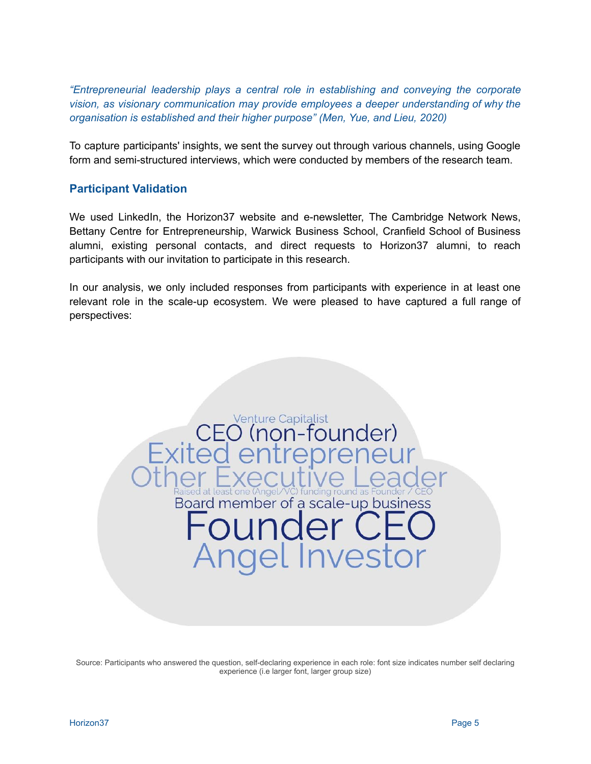*"Entrepreneurial leadership plays a central role in establishing and conveying the corporate vision, as visionary communication may provide employees a deeper understanding of why the organisation is established and their higher purpose" (Men, Yue, and Lieu, 2020)*

To capture participants' insights, we sent the survey out through various channels, using Google form and semi-structured interviews, which were conducted by members of the research team.

#### <span id="page-4-0"></span>**Participant Validation**

We used LinkedIn, the Horizon37 website and e-newsletter, The Cambridge Network News, Bettany Centre for Entrepreneurship, Warwick Business School, Cranfield School of Business alumni, existing personal contacts, and direct requests to Horizon37 alumni, to reach participants with our invitation to participate in this research.

In our analysis, we only included responses from participants with experience in at least one relevant role in the scale-up ecosystem. We were pleased to have captured a full range of perspectives:

Venture Capitalist<br>O (non-founder)

d at least one (Angel/VC) funding round as

Board member of a scale-up business

gel Invest

Source: Participants who answered the question, self-declaring experience in each role: font size indicates number self declaring experience (i.e larger font, larger group size)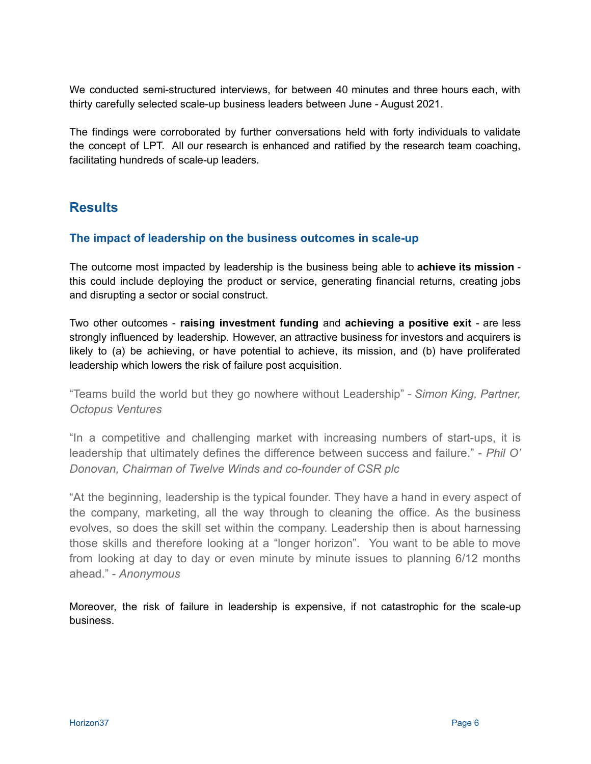We conducted semi-structured interviews, for between 40 minutes and three hours each, with thirty carefully selected scale-up business leaders between June - August 2021.

The findings were corroborated by further conversations held with forty individuals to validate the concept of LPT. All our research is enhanced and ratified by the research team coaching, facilitating hundreds of scale-up leaders.

## <span id="page-5-0"></span>**Results**

#### <span id="page-5-1"></span>**The impact of leadership on the business outcomes in scale-up**

The outcome most impacted by leadership is the business being able to **achieve its mission** this could include deploying the product or service, generating financial returns, creating jobs and disrupting a sector or social construct.

Two other outcomes - **raising investment funding** and **achieving a positive exit** - are less strongly influenced by leadership. However, an attractive business for investors and acquirers is likely to (a) be achieving, or have potential to achieve, its mission, and (b) have proliferated leadership which lowers the risk of failure post acquisition.

"Teams build the world but they go nowhere without Leadership" - *Simon King, Partner, Octopus Ventures*

"In a competitive and challenging market with increasing numbers of start-ups, it is leadership that ultimately defines the difference between success and failure." - *Phil O' Donovan, Chairman of Twelve Winds and co-founder of CSR plc*

"At the beginning, leadership is the typical founder. They have a hand in every aspect of the company, marketing, all the way through to cleaning the office. As the business evolves, so does the skill set within the company. Leadership then is about harnessing those skills and therefore looking at a "longer horizon". You want to be able to move from looking at day to day or even minute by minute issues to planning 6/12 months ahead." - *Anonymous*

Moreover, the risk of failure in leadership is expensive, if not catastrophic for the scale-up business.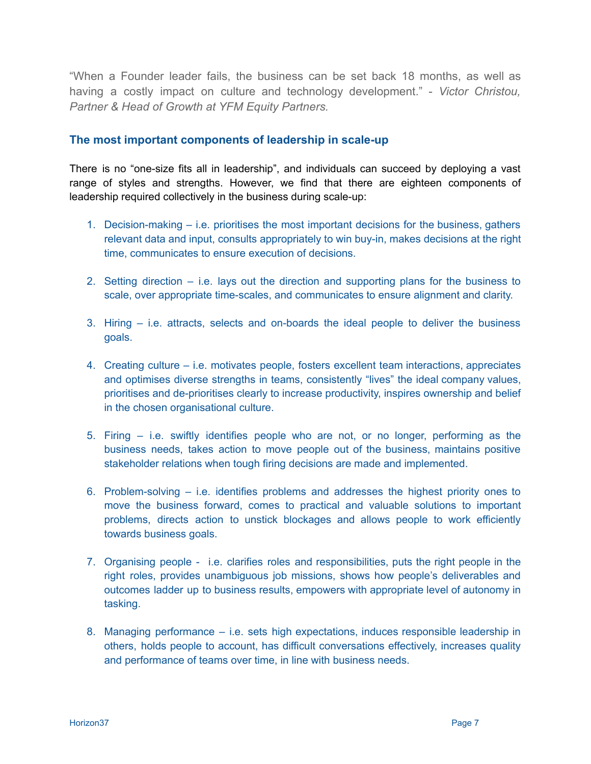"When a Founder leader fails, the business can be set back 18 months, as well as having a costly impact on culture and technology development." - *Victor Christou, Partner & Head of Growth at YFM Equity Partners.*

#### <span id="page-6-0"></span>**The most important components of leadership in scale-up**

There is no "one-size fits all in leadership", and individuals can succeed by deploying a vast range of styles and strengths. However, we find that there are eighteen components of leadership required collectively in the business during scale-up:

- 1. Decision-making i.e. prioritises the most important decisions for the business, gathers relevant data and input, consults appropriately to win buy-in, makes decisions at the right time, communicates to ensure execution of decisions.
- 2. Setting direction i.e. lays out the direction and supporting plans for the business to scale, over appropriate time-scales, and communicates to ensure alignment and clarity.
- 3. Hiring i.e. attracts, selects and on-boards the ideal people to deliver the business goals.
- 4. Creating culture i.e. motivates people, fosters excellent team interactions, appreciates and optimises diverse strengths in teams, consistently "lives" the ideal company values, prioritises and de-prioritises clearly to increase productivity, inspires ownership and belief in the chosen organisational culture.
- 5. Firing i.e. swiftly identifies people who are not, or no longer, performing as the business needs, takes action to move people out of the business, maintains positive stakeholder relations when tough firing decisions are made and implemented.
- 6. Problem-solving i.e. identifies problems and addresses the highest priority ones to move the business forward, comes to practical and valuable solutions to important problems, directs action to unstick blockages and allows people to work efficiently towards business goals.
- 7. Organising people i.e. clarifies roles and responsibilities, puts the right people in the right roles, provides unambiguous job missions, shows how people's deliverables and outcomes ladder up to business results, empowers with appropriate level of autonomy in tasking.
- 8. Managing performance i.e. sets high expectations, induces responsible leadership in others, holds people to account, has difficult conversations effectively, increases quality and performance of teams over time, in line with business needs.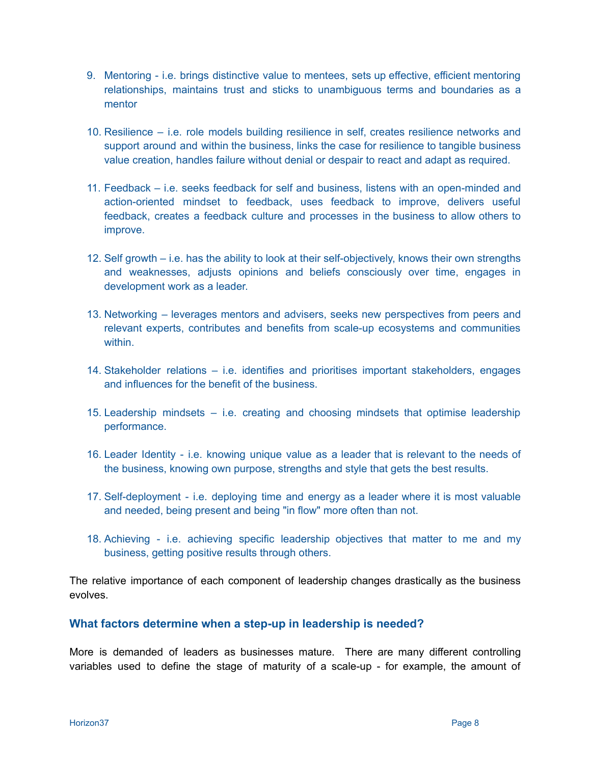- 9. Mentoring i.e. brings distinctive value to mentees, sets up effective, efficient mentoring relationships, maintains trust and sticks to unambiguous terms and boundaries as a mentor
- 10. Resilience i.e. role models building resilience in self, creates resilience networks and support around and within the business, links the case for resilience to tangible business value creation, handles failure without denial or despair to react and adapt as required.
- 11. Feedback i.e. seeks feedback for self and business, listens with an open-minded and action-oriented mindset to feedback, uses feedback to improve, delivers useful feedback, creates a feedback culture and processes in the business to allow others to improve.
- 12. Self growth i.e. has the ability to look at their self-objectively, knows their own strengths and weaknesses, adjusts opinions and beliefs consciously over time, engages in development work as a leader.
- 13. Networking leverages mentors and advisers, seeks new perspectives from peers and relevant experts, contributes and benefits from scale-up ecosystems and communities within.
- 14. Stakeholder relations i.e. identifies and prioritises important stakeholders, engages and influences for the benefit of the business.
- 15. Leadership mindsets i.e. creating and choosing mindsets that optimise leadership performance.
- 16. Leader Identity i.e. knowing unique value as a leader that is relevant to the needs of the business, knowing own purpose, strengths and style that gets the best results.
- 17. Self-deployment i.e. deploying time and energy as a leader where it is most valuable and needed, being present and being "in flow" more often than not.
- 18. Achieving i.e. achieving specific leadership objectives that matter to me and my business, getting positive results through others.

The relative importance of each component of leadership changes drastically as the business evolves.

#### <span id="page-7-0"></span>**What factors determine when a step-up in leadership is needed?**

More is demanded of leaders as businesses mature. There are many different controlling variables used to define the stage of maturity of a scale-up - for example, the amount of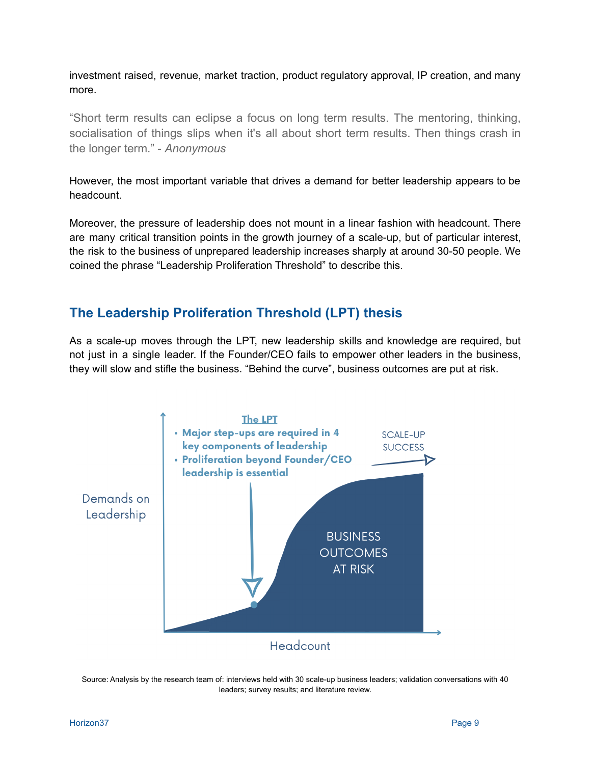investment raised, revenue, market traction, product regulatory approval, IP creation, and many more.

"Short term results can eclipse a focus on long term results. The mentoring, thinking, socialisation of things slips when it's all about short term results. Then things crash in the longer term." - *Anonymous*

However, the most important variable that drives a demand for better leadership appears to be headcount.

Moreover, the pressure of leadership does not mount in a linear fashion with headcount. There are many critical transition points in the growth journey of a scale-up, but of particular interest, the risk to the business of unprepared leadership increases sharply at around 30-50 people. We coined the phrase "Leadership Proliferation Threshold" to describe this.

### <span id="page-8-0"></span>**The Leadership Proliferation Threshold (LPT) thesis**

As a scale-up moves through the LPT, new leadership skills and knowledge are required, but not just in a single leader. If the Founder/CEO fails to empower other leaders in the business, they will slow and stifle the business. "Behind the curve", business outcomes are put at risk.



Source: Analysis by the research team of: interviews held with 30 scale-up business leaders; validation conversations with 40 leaders; survey results; and literature review.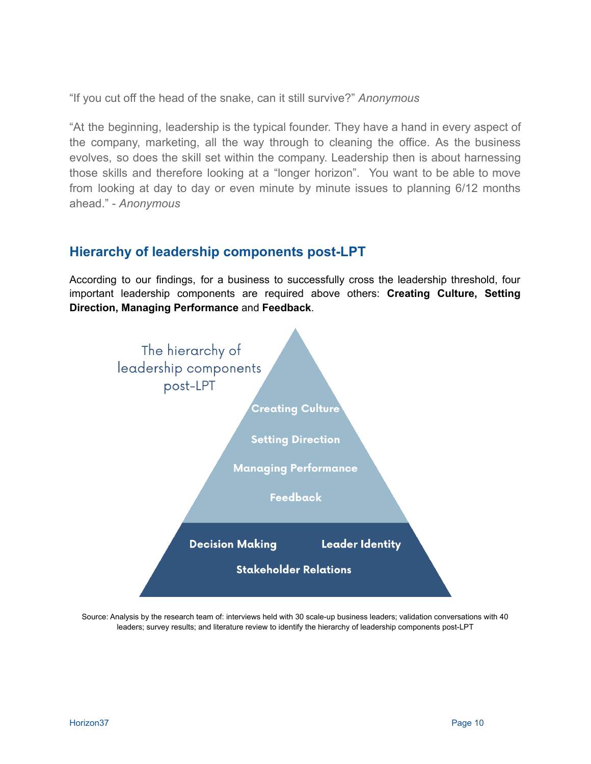"If you cut off the head of the snake, can it still survive?" *Anonymous*

"At the beginning, leadership is the typical founder. They have a hand in every aspect of the company, marketing, all the way through to cleaning the office. As the business evolves, so does the skill set within the company. Leadership then is about harnessing those skills and therefore looking at a "longer horizon". You want to be able to move from looking at day to day or even minute by minute issues to planning 6/12 months ahead." - *Anonymous*

### <span id="page-9-0"></span>**Hierarchy of leadership components post-LPT**

According to our findings, for a business to successfully cross the leadership threshold, four important leadership components are required above others: **Creating Culture, Setting Direction, Managing Performance** and **Feedback**.



Source: Analysis by the research team of: interviews held with 30 scale-up business leaders; validation conversations with 40 leaders; survey results; and literature review to identify the hierarchy of leadership components post-LPT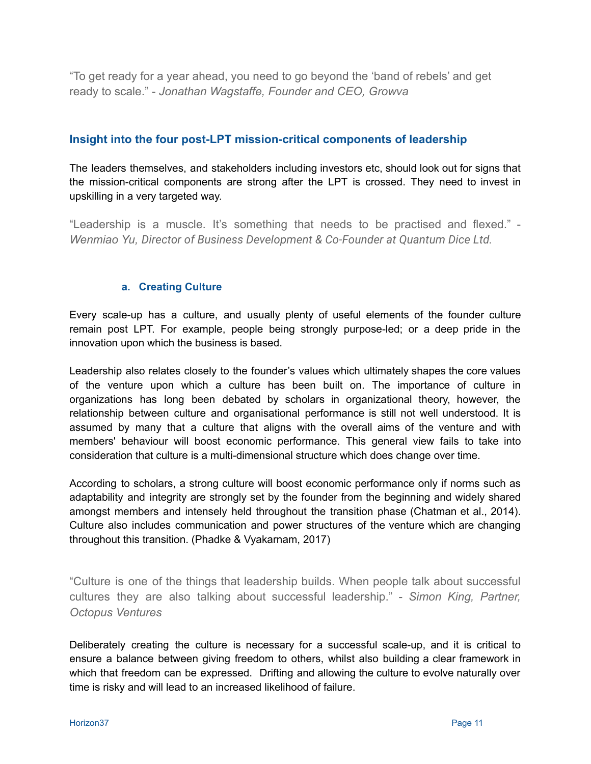"To get ready for a year ahead, you need to go beyond the 'band of rebels' and get ready to scale." - *Jonathan Wagstaffe, Founder and CEO, Growva*

#### <span id="page-10-0"></span>**Insight into the four post-LPT mission-critical components of leadership**

The leaders themselves, and stakeholders including investors etc, should look out for signs that the mission-critical components are strong after the LPT is crossed. They need to invest in upskilling in a very targeted way.

"Leadership is a muscle. It's something that needs to be practised and flexed." - *Wenmiao Yu, Director of Business Development & Co-Founder at Quantum Dice Ltd.*

#### **a. Creating Culture**

<span id="page-10-1"></span>Every scale-up has a culture, and usually plenty of useful elements of the founder culture remain post LPT. For example, people being strongly purpose-led; or a deep pride in the innovation upon which the business is based.

Leadership also relates closely to the founder's values which ultimately shapes the core values of the venture upon which a culture has been built on. The importance of culture in organizations has long been debated by scholars in organizational theory, however, the relationship between culture and organisational performance is still not well understood. It is assumed by many that a culture that aligns with the overall aims of the venture and with members' behaviour will boost economic performance. This general view fails to take into consideration that culture is a multi-dimensional structure which does change over time.

According to scholars, a strong culture will boost economic performance only if norms such as adaptability and integrity are strongly set by the founder from the beginning and widely shared amongst members and intensely held throughout the transition phase (Chatman et al., 2014). Culture also includes communication and power structures of the venture which are changing throughout this transition. (Phadke & Vyakarnam, 2017)

"Culture is one of the things that leadership builds. When people talk about successful cultures they are also talking about successful leadership." - *Simon King, Partner, Octopus Ventures*

Deliberately creating the culture is necessary for a successful scale-up, and it is critical to ensure a balance between giving freedom to others, whilst also building a clear framework in which that freedom can be expressed. Drifting and allowing the culture to evolve naturally over time is risky and will lead to an increased likelihood of failure.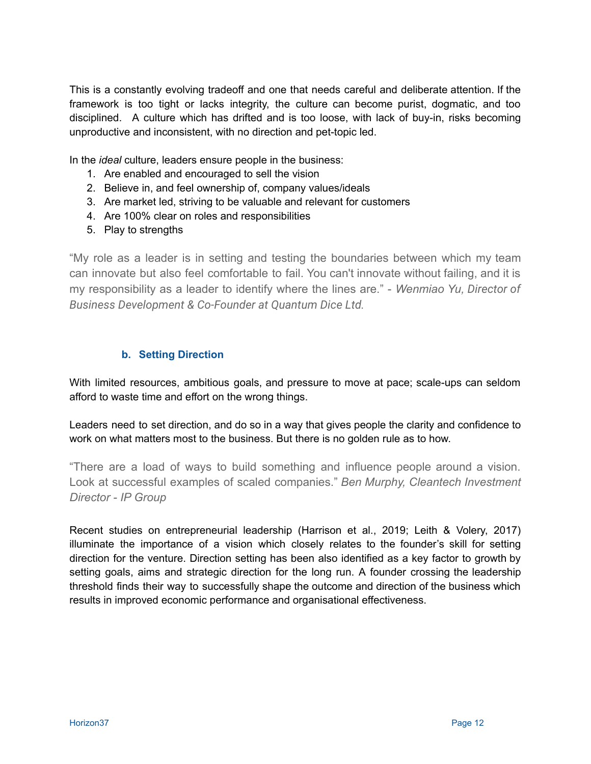This is a constantly evolving tradeoff and one that needs careful and deliberate attention. If the framework is too tight or lacks integrity, the culture can become purist, dogmatic, and too disciplined. A culture which has drifted and is too loose, with lack of buy-in, risks becoming unproductive and inconsistent, with no direction and pet-topic led.

In the *ideal* culture, leaders ensure people in the business:

- 1. Are enabled and encouraged to sell the vision
- 2. Believe in, and feel ownership of, company values/ideals
- 3. Are market led, striving to be valuable and relevant for customers
- 4. Are 100% clear on roles and responsibilities
- 5. Play to strengths

"My role as a leader is in setting and testing the boundaries between which my team can innovate but also feel comfortable to fail. You can't innovate without failing, and it is my responsibility as a leader to identify where the lines are." - *Wenmiao Yu, Director of Business Development & Co-Founder at Quantum Dice Ltd.*

#### **b. Setting Direction**

<span id="page-11-0"></span>With limited resources, ambitious goals, and pressure to move at pace; scale-ups can seldom afford to waste time and effort on the wrong things.

Leaders need to set direction, and do so in a way that gives people the clarity and confidence to work on what matters most to the business. But there is no golden rule as to how.

"There are a load of ways to build something and influence people around a vision. Look at successful examples of scaled companies." *Ben Murphy, Cleantech Investment Director - IP Group*

Recent studies on entrepreneurial leadership (Harrison et al., 2019; Leith & Volery, 2017) illuminate the importance of a vision which closely relates to the founder's skill for setting direction for the venture. Direction setting has been also identified as a key factor to growth by setting goals, aims and strategic direction for the long run. A founder crossing the leadership threshold finds their way to successfully shape the outcome and direction of the business which results in improved economic performance and organisational effectiveness.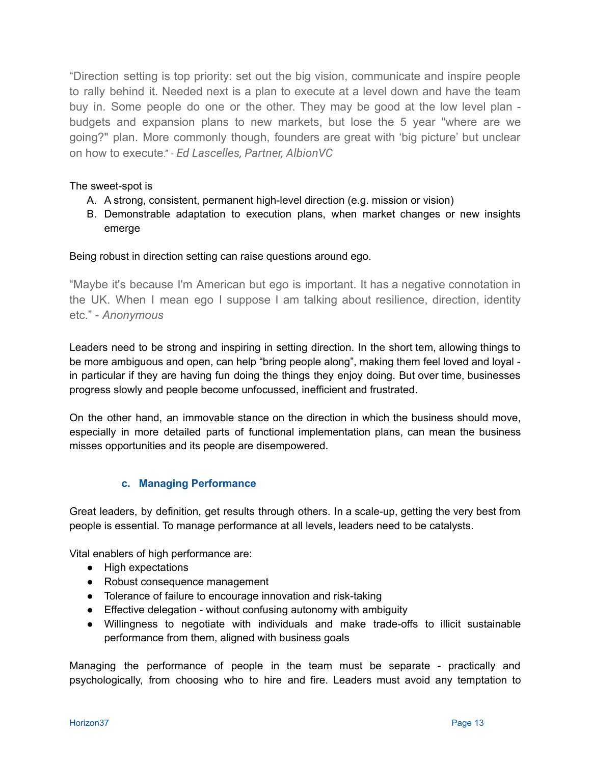"Direction setting is top priority: set out the big vision, communicate and inspire people to rally behind it. Needed next is a plan to execute at a level down and have the team buy in. Some people do one or the other. They may be good at the low level plan budgets and expansion plans to new markets, but lose the 5 year "where are we going?" plan. More commonly though, founders are great with 'big picture' but unclear on how to execute." - *Ed Lascelles, Partner, AlbionVC*

#### The sweet-spot is

- A. A strong, consistent, permanent high-level direction (e.g. mission or vision)
- B. Demonstrable adaptation to execution plans, when market changes or new insights emerge

Being robust in direction setting can raise questions around ego.

"Maybe it's because I'm American but ego is important. It has a negative connotation in the UK. When I mean ego I suppose I am talking about resilience, direction, identity etc." - *Anonymous*

Leaders need to be strong and inspiring in setting direction. In the short tem, allowing things to be more ambiguous and open, can help "bring people along", making them feel loved and loyal in particular if they are having fun doing the things they enjoy doing. But over time, businesses progress slowly and people become unfocussed, inefficient and frustrated.

On the other hand, an immovable stance on the direction in which the business should move, especially in more detailed parts of functional implementation plans, can mean the business misses opportunities and its people are disempowered.

#### **c. Managing Performance**

<span id="page-12-0"></span>Great leaders, by definition, get results through others. In a scale-up, getting the very best from people is essential. To manage performance at all levels, leaders need to be catalysts.

Vital enablers of high performance are:

- High expectations
- Robust consequence management
- Tolerance of failure to encourage innovation and risk-taking
- Effective delegation without confusing autonomy with ambiguity
- Willingness to negotiate with individuals and make trade-offs to illicit sustainable performance from them, aligned with business goals

Managing the performance of people in the team must be separate - practically and psychologically, from choosing who to hire and fire. Leaders must avoid any temptation to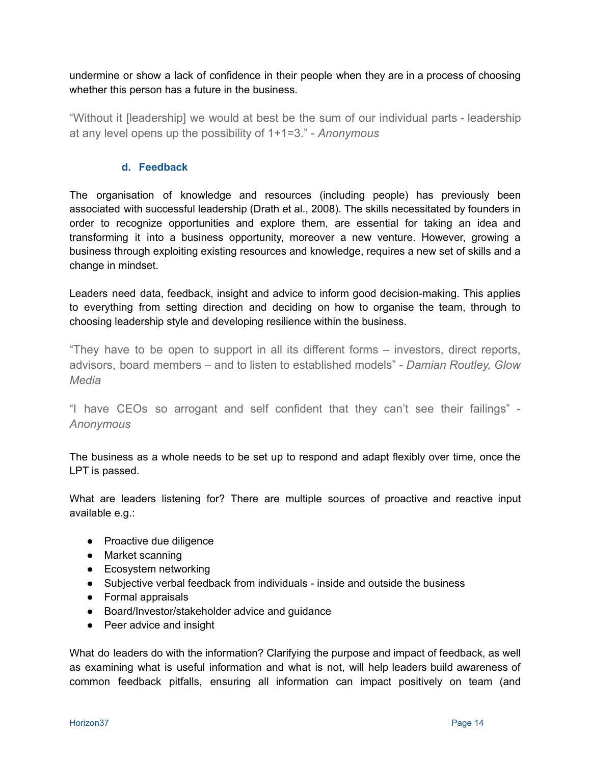undermine or show a lack of confidence in their people when they are in a process of choosing whether this person has a future in the business.

"Without it [leadership] we would at best be the sum of our individual parts - leadership at any level opens up the possibility of 1+1=3." - *Anonymous*

#### **d. Feedback**

<span id="page-13-0"></span>The organisation of knowledge and resources (including people) has previously been associated with successful leadership (Drath et al., 2008). The skills necessitated by founders in order to recognize opportunities and explore them, are essential for taking an idea and transforming it into a business opportunity, moreover a new venture. However, growing a business through exploiting existing resources and knowledge, requires a new set of skills and a change in mindset.

Leaders need data, feedback, insight and advice to inform good decision-making. This applies to everything from setting direction and deciding on how to organise the team, through to choosing leadership style and developing resilience within the business.

"They have to be open to support in all its different forms – investors, direct reports, advisors, board members – and to listen to established models" - *Damian Routley, Glow Media*

"I have CEOs so arrogant and self confident that they can't see their failings" - *Anonymous*

The business as a whole needs to be set up to respond and adapt flexibly over time, once the LPT is passed.

What are leaders listening for? There are multiple sources of proactive and reactive input available e.g.:

- Proactive due diligence
- Market scanning
- Ecosystem networking
- Subjective verbal feedback from individuals inside and outside the business
- Formal appraisals
- Board/Investor/stakeholder advice and guidance
- Peer advice and insight

What do leaders do with the information? Clarifying the purpose and impact of feedback, as well as examining what is useful information and what is not, will help leaders build awareness of common feedback pitfalls, ensuring all information can impact positively on team (and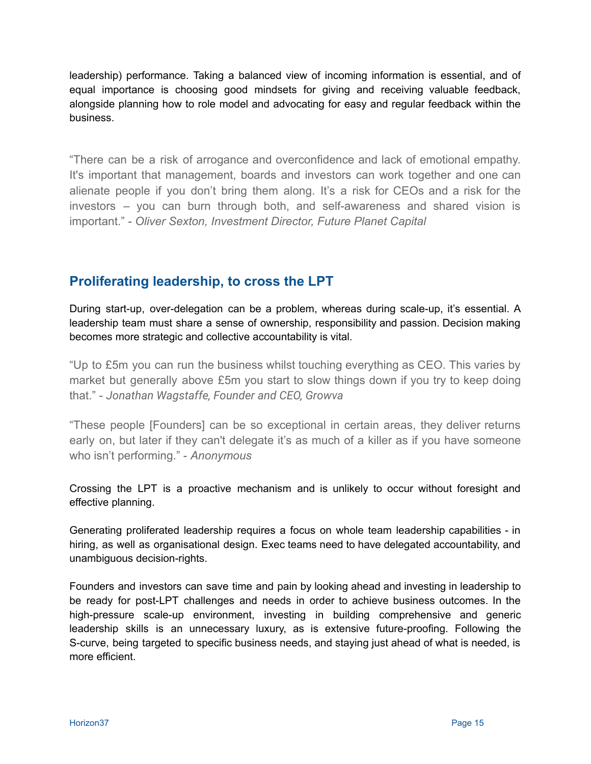leadership) performance. Taking a balanced view of incoming information is essential, and of equal importance is choosing good mindsets for giving and receiving valuable feedback, alongside planning how to role model and advocating for easy and regular feedback within the business.

"There can be a risk of arrogance and overconfidence and lack of emotional empathy. It's important that management, boards and investors can work together and one can alienate people if you don't bring them along. It's a risk for CEOs and a risk for the investors – you can burn through both, and self-awareness and shared vision is important." - *Oliver Sexton, Investment Director, Future Planet Capital*

# <span id="page-14-0"></span>**Proliferating leadership, to cross the LPT**

During start-up, over-delegation can be a problem, whereas during scale-up, it's essential. A leadership team must share a sense of ownership, responsibility and passion. Decision making becomes more strategic and collective accountability is vital.

"Up to £5m you can run the business whilst touching everything as CEO. This varies by market but generally above £5m you start to slow things down if you try to keep doing that." - *Jonathan Wagstaffe, Founder and CEO, Growva*

"These people [Founders] can be so exceptional in certain areas, they deliver returns early on, but later if they can't delegate it's as much of a killer as if you have someone who isn't performing." - *Anonymous*

Crossing the LPT is a proactive mechanism and is unlikely to occur without foresight and effective planning.

Generating proliferated leadership requires a focus on whole team leadership capabilities - in hiring, as well as organisational design. Exec teams need to have delegated accountability, and unambiguous decision-rights.

Founders and investors can save time and pain by looking ahead and investing in leadership to be ready for post-LPT challenges and needs in order to achieve business outcomes. In the high-pressure scale-up environment, investing in building comprehensive and generic leadership skills is an unnecessary luxury, as is extensive future-proofing. Following the S-curve, being targeted to specific business needs, and staying just ahead of what is needed, is more efficient.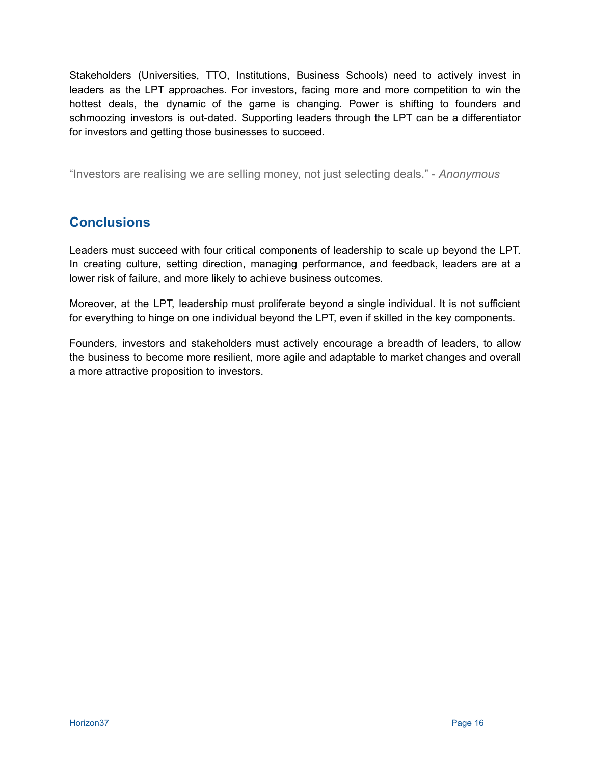Stakeholders (Universities, TTO, Institutions, Business Schools) need to actively invest in leaders as the LPT approaches. For investors, facing more and more competition to win the hottest deals, the dynamic of the game is changing. Power is shifting to founders and schmoozing investors is out-dated. Supporting leaders through the LPT can be a differentiator for investors and getting those businesses to succeed.

"Investors are realising we are selling money, not just selecting deals." - *Anonymous*

# <span id="page-15-0"></span>**Conclusions**

Leaders must succeed with four critical components of leadership to scale up beyond the LPT. In creating culture, setting direction, managing performance, and feedback, leaders are at a lower risk of failure, and more likely to achieve business outcomes.

Moreover, at the LPT, leadership must proliferate beyond a single individual. It is not sufficient for everything to hinge on one individual beyond the LPT, even if skilled in the key components.

Founders, investors and stakeholders must actively encourage a breadth of leaders, to allow the business to become more resilient, more agile and adaptable to market changes and overall a more attractive proposition to investors.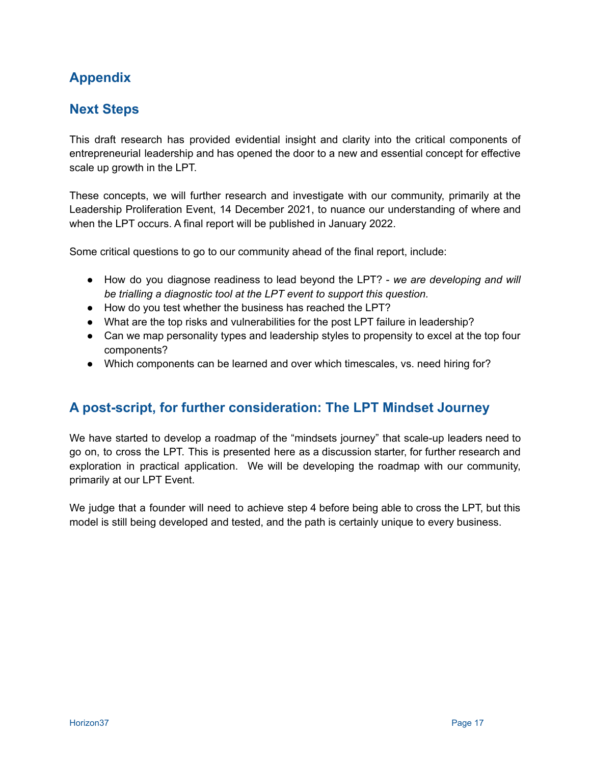# <span id="page-16-0"></span>**Appendix**

# <span id="page-16-1"></span>**Next Steps**

This draft research has provided evidential insight and clarity into the critical components of entrepreneurial leadership and has opened the door to a new and essential concept for effective scale up growth in the LPT.

These concepts, we will further research and investigate with our community, primarily at the Leadership Proliferation Event, 14 December 2021, to nuance our understanding of where and when the LPT occurs. A final report will be published in January 2022.

Some critical questions to go to our community ahead of the final report, include:

- How do you diagnose readiness to lead beyond the LPT? *we are developing and will be trialling a diagnostic tool at the LPT event to support this question.*
- How do you test whether the business has reached the LPT?
- What are the top risks and vulnerabilities for the post LPT failure in leadership?
- Can we map personality types and leadership styles to propensity to excel at the top four components?
- Which components can be learned and over which timescales, vs. need hiring for?

## <span id="page-16-2"></span>**A post-script, for further consideration: The LPT Mindset Journey**

We have started to develop a roadmap of the "mindsets journey" that scale-up leaders need to go on, to cross the LPT. This is presented here as a discussion starter, for further research and exploration in practical application. We will be developing the roadmap with our community, primarily at our LPT Event.

We judge that a founder will need to achieve step 4 before being able to cross the LPT, but this model is still being developed and tested, and the path is certainly unique to every business.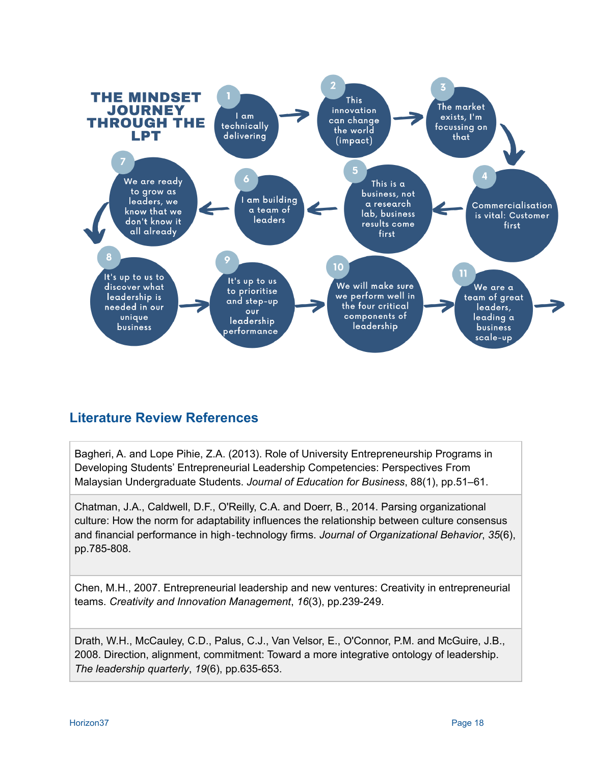

# <span id="page-17-0"></span>**Literature Review References**

Bagheri, A. and Lope Pihie, Z.A. (2013). Role of University Entrepreneurship Programs in Developing Students' Entrepreneurial Leadership Competencies: Perspectives From Malaysian Undergraduate Students. *Journal of Education for Business*, 88(1), pp.51–61.

Chatman, J.A., Caldwell, D.F., O'Reilly, C.A. and Doerr, B., 2014. Parsing organizational culture: How the norm for adaptability influences the relationship between culture consensus and financial performance in high‐technology firms. *Journal of Organizational Behavior*, *35*(6), pp.785-808.

Chen, M.H., 2007. Entrepreneurial leadership and new ventures: Creativity in entrepreneurial teams. *Creativity and Innovation Management*, *16*(3), pp.239-249.

Drath, W.H., McCauley, C.D., Palus, C.J., Van Velsor, E., O'Connor, P.M. and McGuire, J.B., 2008. Direction, alignment, commitment: Toward a more integrative ontology of leadership. *The leadership quarterly*, *19*(6), pp.635-653.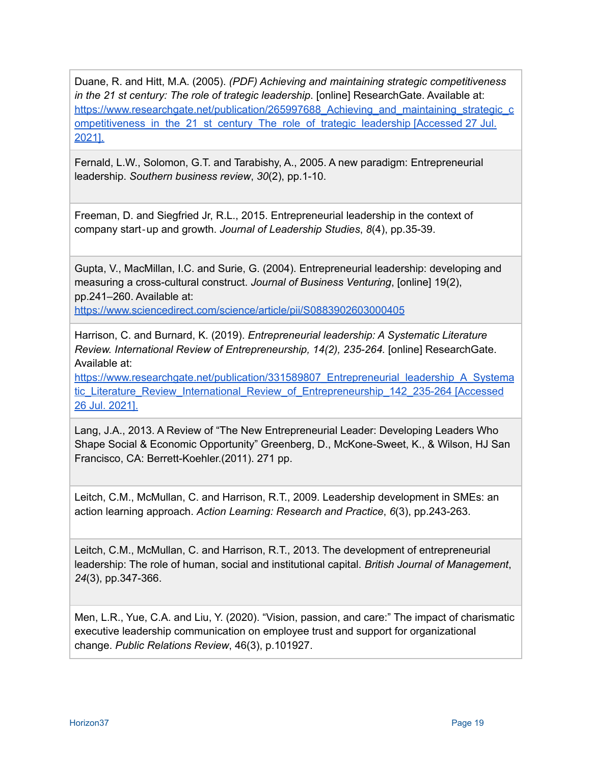Duane, R. and Hitt, M.A. (2005). *(PDF) Achieving and maintaining strategic competitiveness in the 21 st century: The role of trategic leadership*. [online] ResearchGate. Available at: https://www.researchgate.net/publication/265997688 Achieving and maintaining strategic c ompetitiveness in the 21 st century. The role of trategic leadership [Accessed 27 Jul. [2021\].](https://www.researchgate.net/publication/265997688_Achieving_and_maintaining_strategic_competitiveness_in_the_21_st_century_The_role_of_trategic_leadership)

Fernald, L.W., Solomon, G.T. and Tarabishy, A., 2005. A new paradigm: Entrepreneurial leadership. *Southern business review*, *30*(2), pp.1-10.

Freeman, D. and Siegfried Jr, R.L., 2015. Entrepreneurial leadership in the context of company start‐up and growth. *Journal of Leadership Studies*, *8*(4), pp.35-39.

Gupta, V., MacMillan, I.C. and Surie, G. (2004). Entrepreneurial leadership: developing and measuring a cross-cultural construct. *Journal of Business Venturing*, [online] 19(2), pp.241–260. Available at:

<https://www.sciencedirect.com/science/article/pii/S0883902603000405>

Harrison, C. and Burnard, K. (2019). *Entrepreneurial leadership: A Systematic Literature Review. International Review of Entrepreneurship, 14(2), 235-264.* [online] ResearchGate. Available at:

[https://www.researchgate.net/publication/331589807\\_Entrepreneurial\\_leadership\\_A\\_Systema](https://www.researchgate.net/publication/331589807_Entrepreneurial_leadership_A_Systematic_Literature_Review_International_Review_of_Entrepreneurship_142_235-264) [tic\\_Literature\\_Review\\_International\\_Review\\_of\\_Entrepreneurship\\_142\\_235-264](https://www.researchgate.net/publication/331589807_Entrepreneurial_leadership_A_Systematic_Literature_Review_International_Review_of_Entrepreneurship_142_235-264) [Accessed 26 Jul. [2021\].](https://www.researchgate.net/publication/331589807_Entrepreneurial_leadership_A_Systematic_Literature_Review_International_Review_of_Entrepreneurship_142_235-264)

Lang, J.A., 2013. A Review of "The New Entrepreneurial Leader: Developing Leaders Who Shape Social & Economic Opportunity" Greenberg, D., McKone-Sweet, K., & Wilson, HJ San Francisco, CA: Berrett-Koehler.(2011). 271 pp.

Leitch, C.M., McMullan, C. and Harrison, R.T., 2009. Leadership development in SMEs: an action learning approach. *Action Learning: Research and Practice*, *6*(3), pp.243-263.

Leitch, C.M., McMullan, C. and Harrison, R.T., 2013. The development of entrepreneurial leadership: The role of human, social and institutional capital. *British Journal of Management*, *24*(3), pp.347-366.

Men, L.R., Yue, C.A. and Liu, Y. (2020). "Vision, passion, and care:" The impact of charismatic executive leadership communication on employee trust and support for organizational change. *Public Relations Review*, 46(3), p.101927.